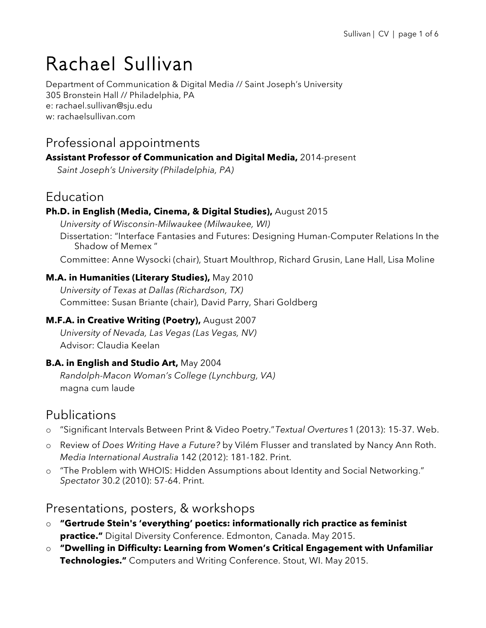# Rachael Sullivan

Department of Communication & Digital Media // Saint Joseph's University 305 Bronstein Hall // Philadelphia, PA e: rachael.sullivan@sju.edu w: rachaelsullivan.com

# Professional appointments

### **Assistant Professor of Communication and Digital Media,** 2014-present

 *Saint Joseph's University (Philadelphia, PA)*

# Education

### **Ph.D. in English (Media, Cinema, & Digital Studies),** August 2015

*University of Wisconsin-Milwaukee (Milwaukee, WI)* Dissertation: "Interface Fantasies and Futures: Designing Human-Computer Relations In the Shadow of Memex "

Committee: Anne Wysocki (chair), Stuart Moulthrop, Richard Grusin, Lane Hall, Lisa Moline

#### **M.A. in Humanities (Literary Studies),** May 2010

*University of Texas at Dallas (Richardson, TX)* Committee: Susan Briante (chair), David Parry, Shari Goldberg

### **M.F.A. in Creative Writing (Poetry),** August 2007

*University of Nevada, Las Vegas (Las Vegas, NV)* Advisor: Claudia Keelan

### **B.A. in English and Studio Art,** May 2004

*Randolph-Macon Woman's College (Lynchburg, VA)*  magna cum laude

# Publications

- o "Significant Intervals Between Print & Video Poetry."*Textual Overtures*1 (2013): 15-37. Web.
- o Review of *Does Writing Have a Future?* by Vilém Flusser and translated by Nancy Ann Roth. *Media International Australia* 142 (2012): 181-182. Print.
- o "The Problem with WHOIS: Hidden Assumptions about Identity and Social Networking." *Spectator* 30.2 (2010): 57-64. Print.

### Presentations, posters, & workshops

- o **"Gertrude Stein's 'everything' poetics: informationally rich practice as feminist practice."** Digital Diversity Conference. Edmonton, Canada. May 2015.
- o **"Dwelling in Difficulty: Learning from Women's Critical Engagement with Unfamiliar Technologies."** Computers and Writing Conference. Stout, WI. May 2015.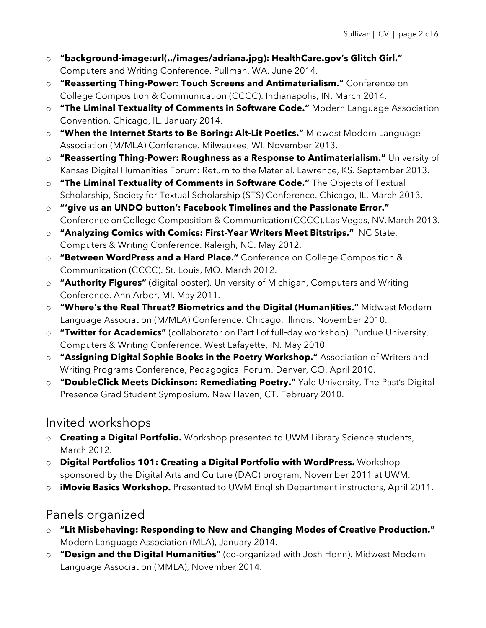- o **"background-image:url(../images/adriana.jpg): HealthCare.gov's Glitch Girl."** Computers and Writing Conference. Pullman, WA. June 2014.
- o **"Reasserting Thing-Power: Touch Screens and Antimaterialism."** Conference on College Composition & Communication (CCCC). Indianapolis, IN. March 2014.
- o **"The Liminal Textuality of Comments in Software Code."** Modern Language Association Convention. Chicago, IL. January 2014.
- o **"When the Internet Starts to Be Boring: Alt-Lit Poetics."** Midwest Modern Language Association (M/MLA) Conference. Milwaukee, WI. November 2013.
- o **"Reasserting Thing-Power: Roughness as a Response to Antimaterialism."** University of Kansas Digital Humanities Forum: Return to the Material. Lawrence, KS. September 2013.
- o **"The Liminal Textuality of Comments in Software Code."** The Objects of Textual Scholarship, Society for Textual Scholarship (STS) Conference. Chicago, IL. March 2013.
- o **"'give us an UNDO button': Facebook Timelines and the Passionate Error."** Conference onCollege Composition & Communication(CCCC).Las Vegas, NV.March 2013.
- o **"Analyzing Comics with Comics: First-Year Writers Meet Bitstrips."** NC State, Computers & Writing Conference. Raleigh, NC. May 2012.
- o **"Between WordPress and a Hard Place."** Conference on College Composition & Communication (CCCC). St. Louis, MO. March 2012.
- o **"Authority Figures"** (digital poster). University of Michigan, Computers and Writing Conference. Ann Arbor, MI. May 2011.
- o **"Where's the Real Threat? Biometrics and the Digital (Human)ities."** Midwest Modern Language Association (M/MLA) Conference. Chicago, Illinois. November 2010.
- o **"Twitter for Academics"** (collaborator on Part I of full‐day workshop). Purdue University, Computers & Writing Conference. West Lafayette, IN. May 2010.
- o **"Assigning Digital Sophie Books in the Poetry Workshop."** Association of Writers and Writing Programs Conference, Pedagogical Forum. Denver, CO. April 2010.
- o **"DoubleClick Meets Dickinson: Remediating Poetry."** Yale University, The Past's Digital Presence Grad Student Symposium. New Haven, CT. February 2010.

# Invited workshops

- o **Creating a Digital Portfolio.** Workshop presented to UWM Library Science students, March 2012.
- o **Digital Portfolios 101: Creating a Digital Portfolio with WordPress.** Workshop sponsored by the Digital Arts and Culture (DAC) program, November 2011 at UWM.
- o **iMovie Basics Workshop.** Presented to UWM English Department instructors, April 2011.

# Panels organized

- o **"Lit Misbehaving: Responding to New and Changing Modes of Creative Production."** Modern Language Association (MLA), January 2014.
- o **"Design and the Digital Humanities"** (co-organized with Josh Honn). Midwest Modern Language Association (MMLA), November 2014.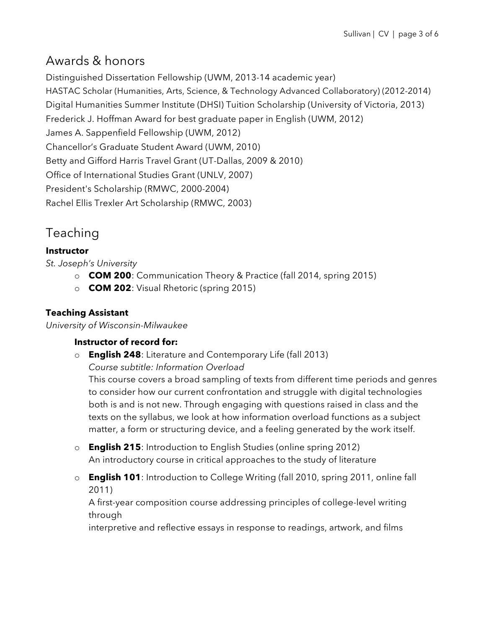# Awards & honors

Distinguished Dissertation Fellowship (UWM, 2013-14 academic year) HASTAC Scholar (Humanities, Arts, Science, & Technology Advanced Collaboratory) (2012-2014) Digital Humanities Summer Institute (DHSI) Tuition Scholarship (University of Victoria, 2013) Frederick J. Hoffman Award for best graduate paper in English (UWM, 2012) James A. Sappenfield Fellowship (UWM, 2012) Chancellor's Graduate Student Award (UWM, 2010) Betty and Gifford Harris Travel Grant (UT-Dallas, 2009 & 2010) Office of International Studies Grant (UNLV, 2007) President's Scholarship (RMWC, 2000-2004) Rachel Ellis Trexler Art Scholarship (RMWC, 2003)

# Teaching

### **Instructor**

*St. Joseph's University*

- o **COM 200**: Communication Theory & Practice (fall 2014, spring 2015)
- o **COM 202**: Visual Rhetoric (spring 2015)

### **Teaching Assistant**

*University of Wisconsin-Milwaukee*

### **Instructor of record for:**

o **English 248**: Literature and Contemporary Life (fall 2013)

*Course subtitle: Information Overload*

This course covers a broad sampling of texts from different time periods and genres to consider how our current confrontation and struggle with digital technologies both is and is not new. Through engaging with questions raised in class and the texts on the syllabus, we look at how information overload functions as a subject matter, a form or structuring device, and a feeling generated by the work itself.

- o **English 215**: Introduction to English Studies (online spring 2012) An introductory course in critical approaches to the study of literature
- o **English 101**: Introduction to College Writing (fall 2010, spring 2011, online fall 2011)

A first-year composition course addressing principles of college-level writing through

interpretive and reflective essays in response to readings, artwork, and films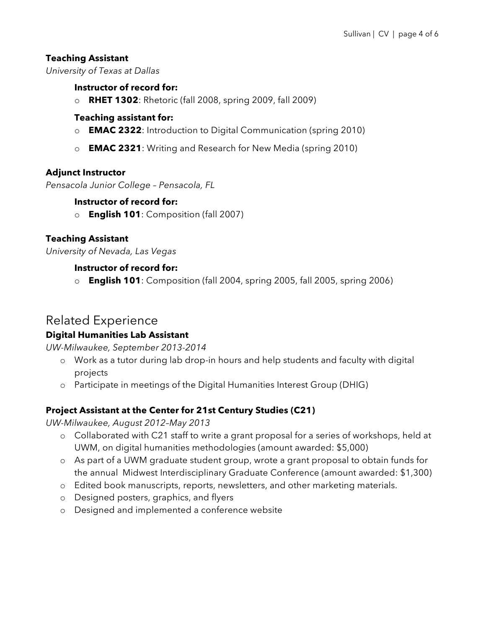### **Teaching Assistant**

*University of Texas at Dallas*

#### **Instructor of record for:**

o **RHET 1302**: Rhetoric (fall 2008, spring 2009, fall 2009)

#### **Teaching assistant for:**

- o **EMAC 2322**: Introduction to Digital Communication (spring 2010)
- o **EMAC 2321**: Writing and Research for New Media (spring 2010)

#### **Adjunct Instructor**

*Pensacola Junior College – Pensacola, FL*

#### **Instructor of record for:**

o **English 101**: Composition (fall 2007)

#### **Teaching Assistant**

*University of Nevada, Las Vegas*

#### **Instructor of record for:**

o **English 101**: Composition (fall 2004, spring 2005, fall 2005, spring 2006)

## Related Experience

#### **Digital Humanities Lab Assistant**

*UW-Milwaukee, September 2013-2014*

- o Work as a tutor during lab drop-in hours and help students and faculty with digital projects
- o Participate in meetings of the Digital Humanities Interest Group (DHIG)

### **Project Assistant at the Center for 21st Century Studies (C21)**

*UW-Milwaukee, August 2012–May 2013*

- o Collaborated with C21 staff to write a grant proposal for a series of workshops, held at UWM, on digital humanities methodologies (amount awarded: \$5,000)
- o As part of a UWM graduate student group, wrote a grant proposal to obtain funds for the annual Midwest Interdisciplinary Graduate Conference (amount awarded: \$1,300)
- o Edited book manuscripts, reports, newsletters, and other marketing materials.
- o Designed posters, graphics, and flyers
- o Designed and implemented a conference website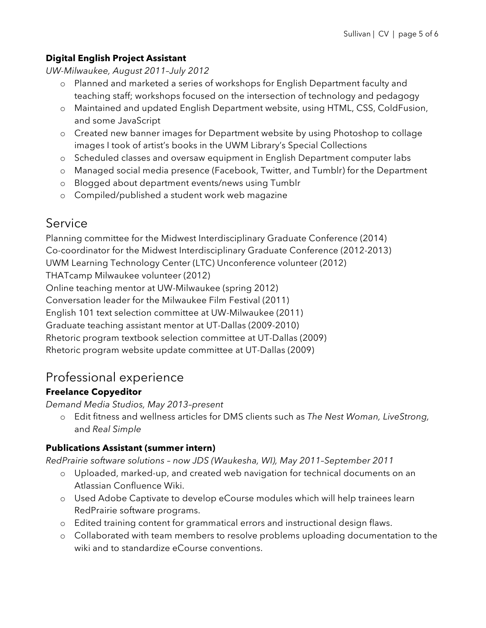### **Digital English Project Assistant**

*UW-Milwaukee, August 2011–July 2012*

- o Planned and marketed a series of workshops for English Department faculty and teaching staff; workshops focused on the intersection of technology and pedagogy
- o Maintained and updated English Department website, using HTML, CSS, ColdFusion, and some JavaScript
- o Created new banner images for Department website by using Photoshop to collage images I took of artist's books in the UWM Library's Special Collections
- o Scheduled classes and oversaw equipment in English Department computer labs
- o Managed social media presence (Facebook, Twitter, and Tumblr) for the Department
- o Blogged about department events/news using Tumblr
- o Compiled/published a student work web magazine

# Service

Planning committee for the Midwest Interdisciplinary Graduate Conference (2014) Co-coordinator for the Midwest Interdisciplinary Graduate Conference (2012-2013) UWM Learning Technology Center (LTC) Unconference volunteer (2012) THATcamp Milwaukee volunteer (2012) Online teaching mentor at UW-Milwaukee (spring 2012) Conversation leader for the Milwaukee Film Festival (2011) English 101 text selection committee at UW-Milwaukee (2011) Graduate teaching assistant mentor at UT-Dallas (2009-2010) Rhetoric program textbook selection committee at UT-Dallas (2009) Rhetoric program website update committee at UT-Dallas (2009)

# Professional experience

### **Freelance Copyeditor**

*Demand Media Studios, May 2013–present*

o Edit fitness and wellness articles for DMS clients such as *The Nest Woman, LiveStrong,*  and *Real Simple*

### **Publications Assistant (summer intern)**

*RedPrairie software solutions – now JDS (Waukesha, WI), May 2011–September 2011*

- o Uploaded, marked-up, and created web navigation for technical documents on an Atlassian Confluence Wiki.
- o Used Adobe Captivate to develop eCourse modules which will help trainees learn RedPrairie software programs.
- o Edited training content for grammatical errors and instructional design flaws.
- o Collaborated with team members to resolve problems uploading documentation to the wiki and to standardize eCourse conventions.